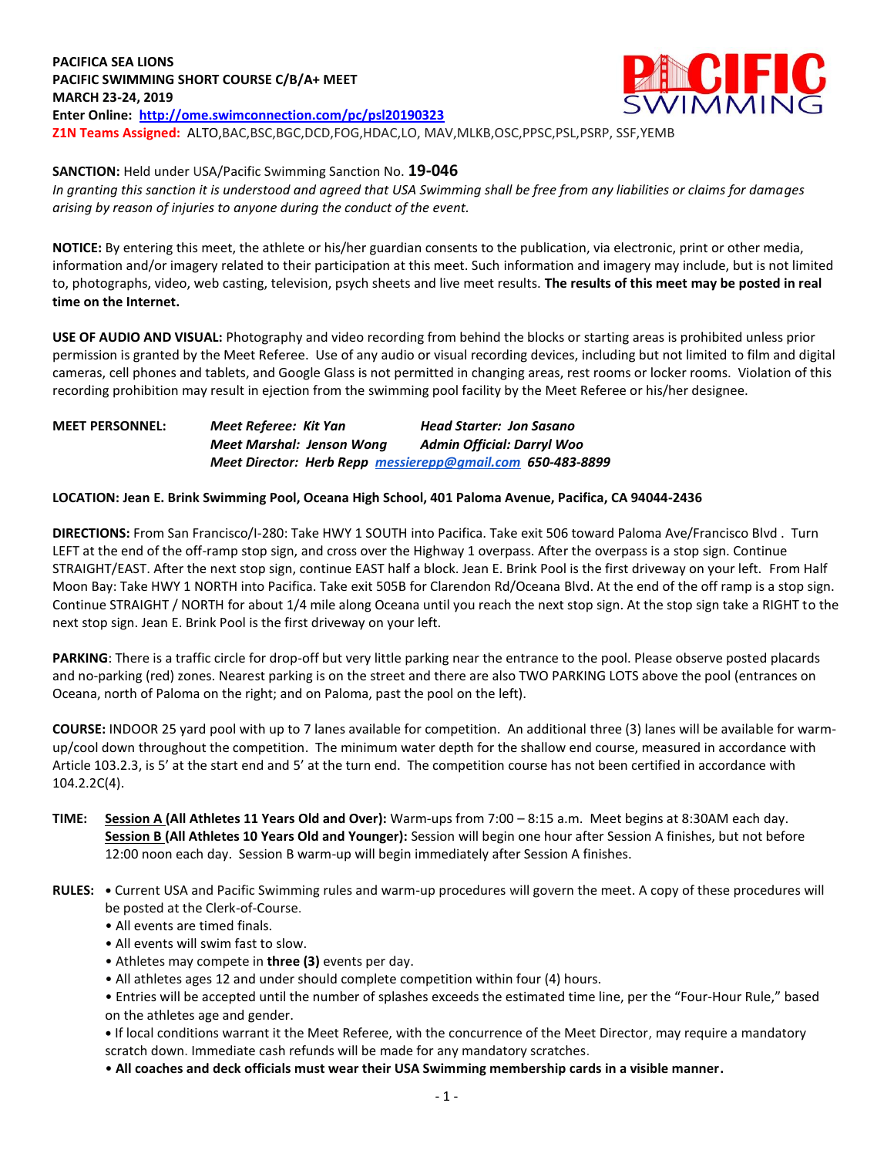**PACIFICA SEA LIONS PACIFIC SWIMMING SHORT COURSE C/B/A+ MEET MARCH 23-24, 2019 Enter Online: <http://ome.swimconnection.com/pc/psl20190323> Z1N Teams Assigned:** ALTO,BAC,BSC,BGC,DCD,FOG,HDAC,LO, MAV,MLKB,OSC,PPSC,PSL,PSRP, SSF,YEMB



**SANCTION:** Held under USA/Pacific Swimming Sanction No. **19-046**

*In granting this sanction it is understood and agreed that USA Swimming shall be free from any liabilities or claims for damages arising by reason of injuries to anyone during the conduct of the event.* 

**NOTICE:** By entering this meet, the athlete or his/her guardian consents to the publication, via electronic, print or other media, information and/or imagery related to their participation at this meet. Such information and imagery may include, but is not limited to, photographs, video, web casting, television, psych sheets and live meet results. **The results of this meet may be posted in real time on the Internet.**

**USE OF AUDIO AND VISUAL:** Photography and video recording from behind the blocks or starting areas is prohibited unless prior permission is granted by the Meet Referee. Use of any audio or visual recording devices, including but not limited to film and digital cameras, cell phones and tablets, and Google Glass is not permitted in changing areas, rest rooms or locker rooms. Violation of this recording prohibition may result in ejection from the swimming pool facility by the Meet Referee or his/her designee.

**MEET PERSONNEL:** *Meet Referee: Kit Yan Head Starter: Jon Sasano Meet Marshal: Jenson Wong Admin Official: Darryl Woo Meet Director: Herb Repp [messierepp@gmail.com](mailto:messierepp@gmail.com) 650-483-8899*

## **LOCATION: Jean E. Brink Swimming Pool, Oceana High School, 401 Paloma Avenue, Pacifica, CA 94044-2436**

**DIRECTIONS:** From San Francisco/I-280: Take HWY 1 SOUTH into Pacifica. Take exit 506 toward Paloma Ave/Francisco Blvd . Turn LEFT at the end of the off-ramp stop sign, and cross over the Highway 1 overpass. After the overpass is a stop sign. Continue STRAIGHT/EAST. After the next stop sign, continue EAST half a block. Jean E. Brink Pool is the first driveway on your left. From Half Moon Bay: Take HWY 1 NORTH into Pacifica. Take exit 505B for Clarendon Rd/Oceana Blvd. At the end of the off ramp is a stop sign. Continue STRAIGHT / NORTH for about 1/4 mile along Oceana until you reach the next stop sign. At the stop sign take a RIGHT to the next stop sign. Jean E. Brink Pool is the first driveway on your left.

**PARKING**: There is a traffic circle for drop-off but very little parking near the entrance to the pool. Please observe posted placards and no-parking (red) zones. Nearest parking is on the street and there are also TWO PARKING LOTS above the pool (entrances on Oceana, north of Paloma on the right; and on Paloma, past the pool on the left).

**COURSE:** INDOOR 25 yard pool with up to 7 lanes available for competition. An additional three (3) lanes will be available for warmup/cool down throughout the competition. The minimum water depth for the shallow end course, measured in accordance with Article 103.2.3, is 5' at the start end and 5' at the turn end. The competition course has not been certified in accordance with 104.2.2C(4).

- **TIME: Session A (All Athletes 11 Years Old and Over):** Warm-ups from 7:00 8:15 a.m. Meet begins at 8:30AM each day. **Session B (All Athletes 10 Years Old and Younger):** Session will begin one hour after Session A finishes, but not before 12:00 noon each day. Session B warm-up will begin immediately after Session A finishes.
- **RULES: •** Current USA and Pacific Swimming rules and warm-up procedures will govern the meet. A copy of these procedures will be posted at the Clerk-of-Course.
	- All events are timed finals.
	- All events will swim fast to slow.
	- Athletes may compete in **three (3)** events per day.
	- All athletes ages 12 and under should complete competition within four (4) hours.
	- Entries will be accepted until the number of splashes exceeds the estimated time line, per the "Four-Hour Rule," based on the athletes age and gender.

**•** If local conditions warrant it the Meet Referee, with the concurrence of the Meet Director, may require a mandatory scratch down. Immediate cash refunds will be made for any mandatory scratches.

• **All coaches and deck officials must wear their USA Swimming membership cards in a visible manner.**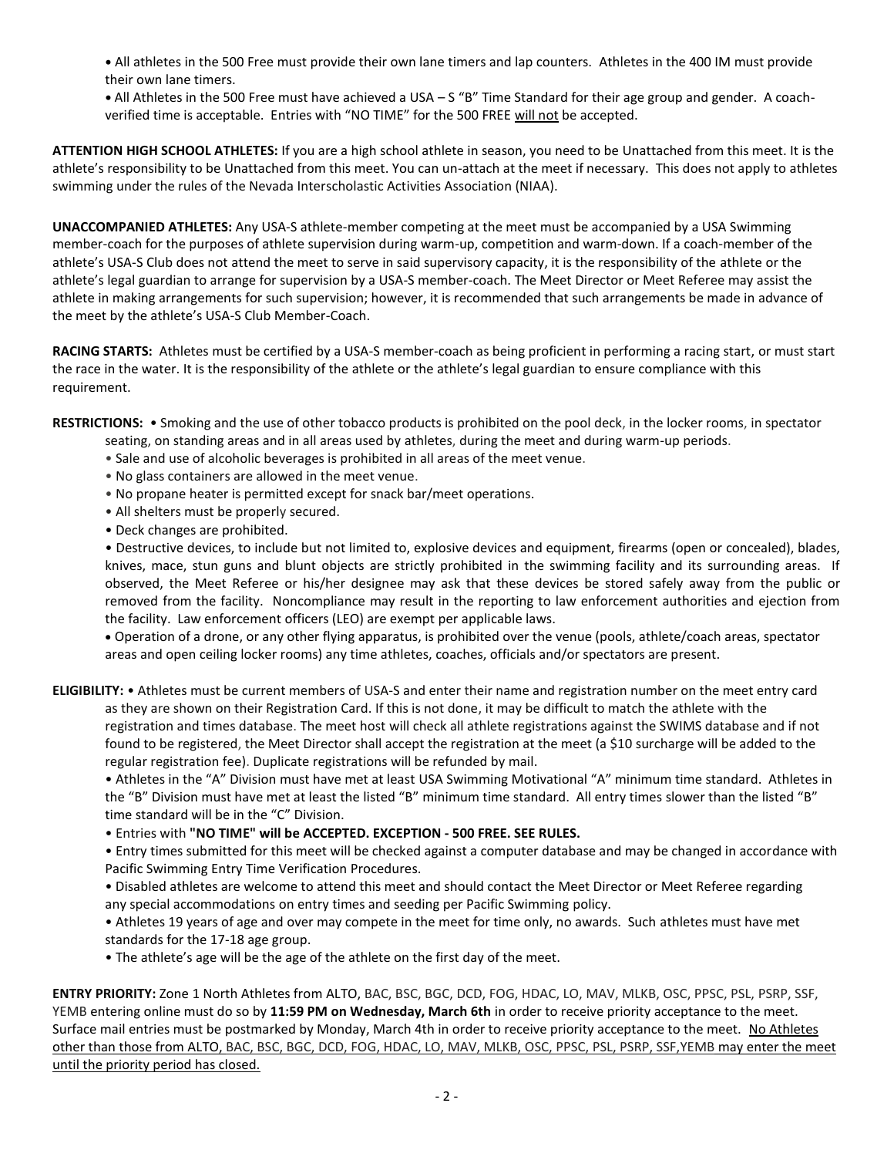**•** All athletes in the 500 Free must provide their own lane timers and lap counters. Athletes in the 400 IM must provide their own lane timers.

**•** All Athletes in the 500 Free must have achieved a USA – S "B" Time Standard for their age group and gender. A coachverified time is acceptable. Entries with "NO TIME" for the 500 FREE will not be accepted.

**ATTENTION HIGH SCHOOL ATHLETES:** If you are a high school athlete in season, you need to be Unattached from this meet. It is the athlete's responsibility to be Unattached from this meet. You can un-attach at the meet if necessary. This does not apply to athletes swimming under the rules of the Nevada Interscholastic Activities Association (NIAA).

**UNACCOMPANIED ATHLETES:** Any USA-S athlete-member competing at the meet must be accompanied by a USA Swimming member-coach for the purposes of athlete supervision during warm-up, competition and warm-down. If a coach-member of the athlete's USA-S Club does not attend the meet to serve in said supervisory capacity, it is the responsibility of the athlete or the athlete's legal guardian to arrange for supervision by a USA-S member-coach. The Meet Director or Meet Referee may assist the athlete in making arrangements for such supervision; however, it is recommended that such arrangements be made in advance of the meet by the athlete's USA-S Club Member-Coach.

**RACING STARTS:** Athletes must be certified by a USA-S member-coach as being proficient in performing a racing start, or must start the race in the water. It is the responsibility of the athlete or the athlete's legal guardian to ensure compliance with this requirement.

**RESTRICTIONS:** • Smoking and the use of other tobacco products is prohibited on the pool deck, in the locker rooms, in spectator seating, on standing areas and in all areas used by athletes, during the meet and during warm-up periods.

- Sale and use of alcoholic beverages is prohibited in all areas of the meet venue.
- No glass containers are allowed in the meet venue.
- No propane heater is permitted except for snack bar/meet operations.
- All shelters must be properly secured.
- Deck changes are prohibited.

• Destructive devices, to include but not limited to, explosive devices and equipment, firearms (open or concealed), blades, knives, mace, stun guns and blunt objects are strictly prohibited in the swimming facility and its surrounding areas. If observed, the Meet Referee or his/her designee may ask that these devices be stored safely away from the public or removed from the facility. Noncompliance may result in the reporting to law enforcement authorities and ejection from the facility. Law enforcement officers (LEO) are exempt per applicable laws.

 Operation of a drone, or any other flying apparatus, is prohibited over the venue (pools, athlete/coach areas, spectator areas and open ceiling locker rooms) any time athletes, coaches, officials and/or spectators are present.

**ELIGIBILITY:** • Athletes must be current members of USA-S and enter their name and registration number on the meet entry card as they are shown on their Registration Card. If this is not done, it may be difficult to match the athlete with the registration and times database. The meet host will check all athlete registrations against the SWIMS database and if not found to be registered, the Meet Director shall accept the registration at the meet (a \$10 surcharge will be added to the regular registration fee). Duplicate registrations will be refunded by mail.

• Athletes in the "A" Division must have met at least USA Swimming Motivational "A" minimum time standard. Athletes in the "B" Division must have met at least the listed "B" minimum time standard. All entry times slower than the listed "B" time standard will be in the "C" Division.

• Entries with **"NO TIME" will be ACCEPTED. EXCEPTION - 500 FREE. SEE RULES.**

• Entry times submitted for this meet will be checked against a computer database and may be changed in accordance with Pacific Swimming Entry Time Verification Procedures.

• Disabled athletes are welcome to attend this meet and should contact the Meet Director or Meet Referee regarding any special accommodations on entry times and seeding per Pacific Swimming policy.

• Athletes 19 years of age and over may compete in the meet for time only, no awards. Such athletes must have met standards for the 17-18 age group.

• The athlete's age will be the age of the athlete on the first day of the meet.

**ENTRY PRIORITY:** Zone 1 North Athletes from ALTO, BAC, BSC, BGC, DCD, FOG, HDAC, LO, MAV, MLKB, OSC, PPSC, PSL, PSRP, SSF, YEMB entering online must do so by **11:59 PM on Wednesday, March 6th** in order to receive priority acceptance to the meet. Surface mail entries must be postmarked by Monday, March 4th in order to receive priority acceptance to the meet. No Athletes other than those from ALTO, BAC, BSC, BGC, DCD, FOG, HDAC, LO, MAV, MLKB, OSC, PPSC, PSL, PSRP, SSF,YEMB may enter the meet until the priority period has closed.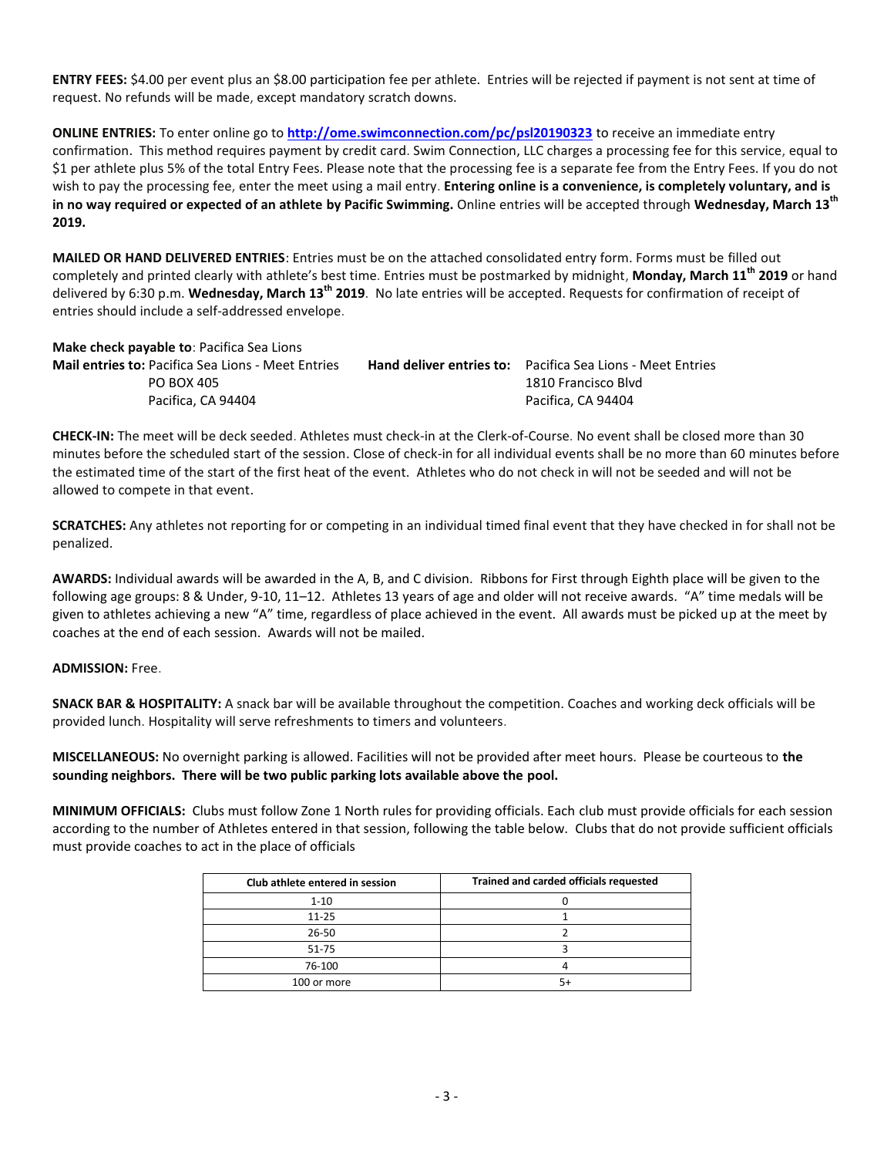**ENTRY FEES:** \$4.00 per event plus an \$8.00 participation fee per athlete. Entries will be rejected if payment is not sent at time of request. No refunds will be made, except mandatory scratch downs.

**ONLINE ENTRIES:** To enter online go to **<http://ome.swimconnection.com/pc/psl20190323>** to receive an immediate entry confirmation. This method requires payment by credit card. Swim Connection, LLC charges a processing fee for this service, equal to \$1 per athlete plus 5% of the total Entry Fees. Please note that the processing fee is a separate fee from the Entry Fees. If you do not wish to pay the processing fee, enter the meet using a mail entry. **Entering online is a convenience, is completely voluntary, and is in no way required or expected of an athlete by Pacific Swimming.** Online entries will be accepted through **Wednesday, March 13th 2019.**

**MAILED OR HAND DELIVERED ENTRIES**: Entries must be on the attached consolidated entry form. Forms must be filled out completely and printed clearly with athlete's best time. Entries must be postmarked by midnight, **Monday, March 11th 2019** or hand delivered by 6:30 p.m. **Wednesday, March 13th 2019**. No late entries will be accepted. Requests for confirmation of receipt of entries should include a self-addressed envelope.

**Make check payable to**: Pacifica Sea Lions **Mail entries to:** Pacifica Sea Lions - Meet Entries **Hand deliver entries to:** Pacifica Sea Lions - Meet Entries PO BOX 405 1810 Francisco Blvd Pacifica, CA 94404 Pacifica, CA 94404

**CHECK-IN:** The meet will be deck seeded. Athletes must check-in at the Clerk-of-Course. No event shall be closed more than 30 minutes before the scheduled start of the session. Close of check-in for all individual events shall be no more than 60 minutes before the estimated time of the start of the first heat of the event. Athletes who do not check in will not be seeded and will not be allowed to compete in that event.

**SCRATCHES:** Any athletes not reporting for or competing in an individual timed final event that they have checked in for shall not be penalized.

**AWARDS:** Individual awards will be awarded in the A, B, and C division. Ribbons for First through Eighth place will be given to the following age groups: 8 & Under, 9-10, 11–12. Athletes 13 years of age and older will not receive awards. "A" time medals will be given to athletes achieving a new "A" time, regardless of place achieved in the event. All awards must be picked up at the meet by coaches at the end of each session. Awards will not be mailed.

**ADMISSION:** Free.

**SNACK BAR & HOSPITALITY:** A snack bar will be available throughout the competition. Coaches and working deck officials will be provided lunch. Hospitality will serve refreshments to timers and volunteers.

**MISCELLANEOUS:** No overnight parking is allowed. Facilities will not be provided after meet hours. Please be courteous to **the sounding neighbors. There will be two public parking lots available above the pool.**

**MINIMUM OFFICIALS:** Clubs must follow Zone 1 North rules for providing officials. Each club must provide officials for each session according to the number of Athletes entered in that session, following the table below. Clubs that do not provide sufficient officials must provide coaches to act in the place of officials

| Club athlete entered in session | Trained and carded officials requested |
|---------------------------------|----------------------------------------|
| $1 - 10$                        |                                        |
| $11 - 25$                       |                                        |
| $26 - 50$                       |                                        |
| $51 - 75$                       |                                        |
| 76-100                          |                                        |
| 100 or more                     |                                        |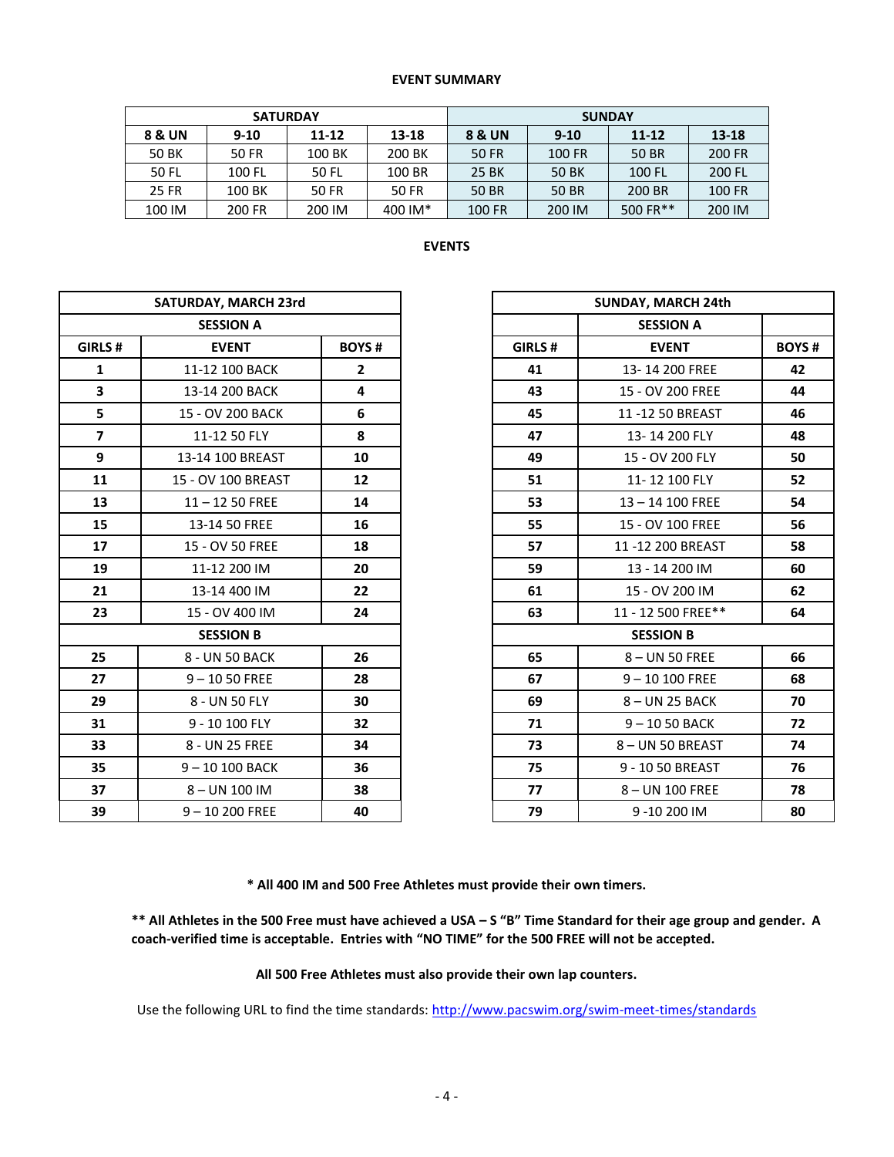## **EVENT SUMMARY**

|        | <b>SATURDAY</b> |           |         | <b>SUNDAY</b> |          |           |        |  |  |  |
|--------|-----------------|-----------|---------|---------------|----------|-----------|--------|--|--|--|
| 8 & UN | $9 - 10$        | $11 - 12$ | 13-18   | 8 & UN        | $9 - 10$ | $11 - 12$ | 13-18  |  |  |  |
| 50 BK  | 50 FR           | 100 BK    | 200 BK  | 50 FR         | 100 FR   | 50 BR     | 200 FR |  |  |  |
| 50 FL  | 100 FL          | 50 FL     | 100 BR  | 25 BK         | 50 BK    | 100 FL    | 200 FL |  |  |  |
| 25 FR  | 100 BK          | 50 FR     | 50 FR   | 50 BR         | 50 BR    | 200 BR    | 100 FR |  |  |  |
| 100 IM | 200 FR          | 200 IM    | 400 IM* | 100 FR        | 200 IM   | 500 FR**  | 200 IM |  |  |  |

| × |
|---|
|---|

| SATURDAY, MARCH 23rd    |                    |                | SUNDAY, MARCH 24th |                    |            |  |
|-------------------------|--------------------|----------------|--------------------|--------------------|------------|--|
|                         | <b>SESSION A</b>   |                |                    | <b>SESSION A</b>   |            |  |
| GIRLS #                 | <b>EVENT</b>       | <b>BOYS#</b>   | GIRLS#             | <b>EVENT</b>       | <b>BOY</b> |  |
| 1                       | 11-12 100 BACK     | $\overline{2}$ | 41                 | 13-14 200 FREE     | 42         |  |
| $\overline{\mathbf{3}}$ | 13-14 200 BACK     | 4              | 43                 | 15 - OV 200 FREE   | 44         |  |
| 5                       | 15 - OV 200 BACK   | 6              | 45                 | 11-12 50 BREAST    | 46         |  |
| $\overline{\mathbf{z}}$ | 11-12 50 FLY       | 8              | 47                 | 13-14 200 FLY      | 48         |  |
| 9                       | 13-14 100 BREAST   | 10             | 49                 | 15 - OV 200 FLY    | 50         |  |
| 11                      | 15 - OV 100 BREAST | 12             | 51                 | 11-12 100 FLY      | 52         |  |
| 13                      | $11 - 1250$ FREE   | 14             | 53                 | 13-14 100 FREE     | 54         |  |
| 15                      | 13-14 50 FREE      | 16             | 55                 | 15 - OV 100 FREE   | 56         |  |
| 17                      | 15 - OV 50 FREE    | 18             | 57                 | 11-12 200 BREAST   | 58         |  |
| 19                      | 11-12 200 IM       | 20             | 59                 | 13 - 14 200 IM     | 60         |  |
| 21                      | 13-14 400 IM       | 22             | 61                 | 15 - OV 200 IM     | 62         |  |
| 23                      | 15 - OV 400 IM     | 24             | 63                 | 11 - 12 500 FREE** | 64         |  |
|                         | <b>SESSION B</b>   |                |                    | <b>SESSION B</b>   |            |  |
| 25                      | 8 - UN 50 BACK     | 26             | 65                 | 8-UN 50 FREE       | 66         |  |
| 27                      | $9 - 1050$ FREE    | 28             | 67                 | $9 - 10100$ FREE   | 68         |  |
| 29                      | 8 - UN 50 FLY      | 30             | 69                 | 8-UN 25 BACK       | 70         |  |
| 31                      | 9 - 10 100 FLY     | 32             | 71                 | $9 - 1050$ BACK    | 72         |  |
| 33                      | 8 - UN 25 FREE     | 34             | 73                 | 8-UN 50 BREAST     | 74         |  |
| 35                      | $9 - 10100$ BACK   | 36             | 75                 | 9 - 10 50 BREAST   | 76         |  |
| 37                      | 8-UN 100 IM        | 38             | 77                 | 8-UN 100 FREE      | 78         |  |
| 39                      | $9 - 10200$ FREE   | 40             | 79                 | 9-10 200 IM        | 80         |  |

|                | SATURDAY, MARCH 23rd |                  |
|----------------|----------------------|------------------|
|                | <b>SESSION A</b>     |                  |
| GIRLS #        | <b>EVENT</b>         | <b>BOYS#</b>     |
| $\mathbf{1}$   | 11-12 100 BACK       | $\mathbf{2}$     |
| 3              | 13-14 200 BACK       | 4                |
| 5              | 15 - OV 200 BACK     | $\boldsymbol{6}$ |
| $\overline{7}$ | 11-12 50 FLY         | 8                |
| 9              | 13-14 100 BREAST     | 10               |
| 11             | 15 - OV 100 BREAST   | 12               |
| 13             | $11 - 1250$ FREE     | 14               |
| 15             | 13-14 50 FREE        | 16               |
| 17             | 15 - OV 50 FREE      | 18               |
| 19             | 11-12 200 IM         | 20               |
| 21             | 13-14 400 IM         | 22               |
| 23             | 15 - OV 400 IM       | 24               |
|                | <b>SESSION B</b>     |                  |
| 25             | 8 - UN 50 BACK       | 26               |
| 27             | $9 - 1050$ FREE      | 28               |
| 29             | 8 - UN 50 FLY        | 30               |
| 31             | 9 - 10 100 FLY       | 32               |
| 33             | 8 - UN 25 FREE       | 34               |
| 35             | 9-10 100 BACK        | 36               |
| 37             | 8-UN 100 IM          | 38               |
| 39             | $9 - 10200$ FREE     | 40               |

**\* All 400 IM and 500 Free Athletes must provide their own timers.**

**\*\* All Athletes in the 500 Free must have achieved a USA – S "B" Time Standard for their age group and gender. A coach-verified time is acceptable. Entries with "NO TIME" for the 500 FREE will not be accepted.** 

## **All 500 Free Athletes must also provide their own lap counters.**

Use the following URL to find the time standards:<http://www.pacswim.org/swim-meet-times/standards>